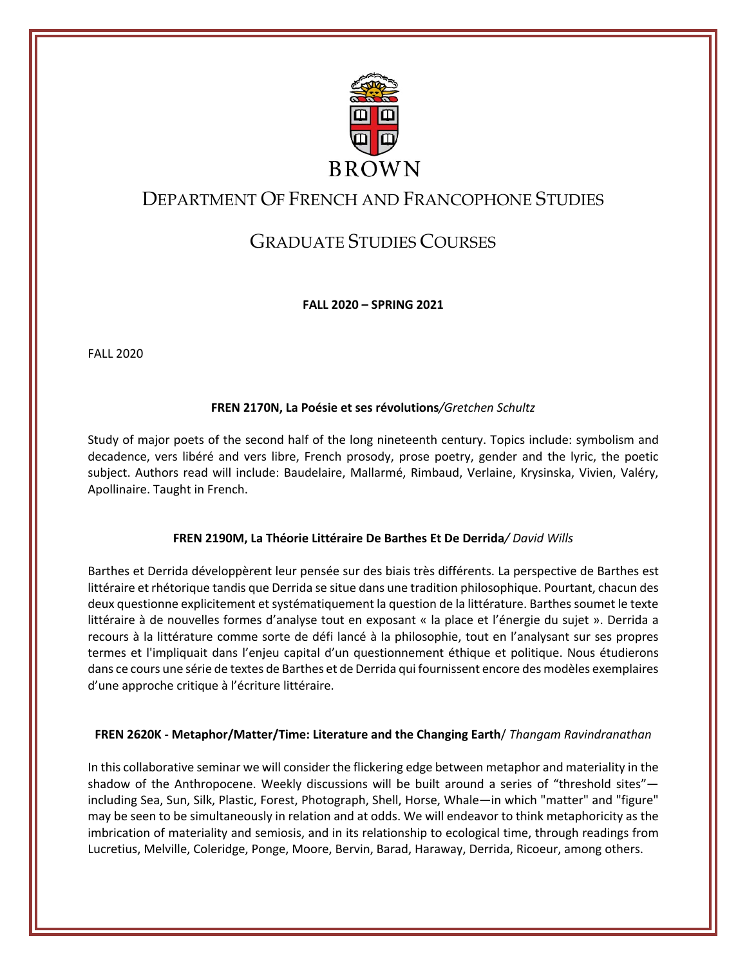

# DEPARTMENT OF FRENCH AND FRANCOPHONE STUDIES

# GRADUATE STUDIES COURSES

**FALL 2020 – SPRING 2021**

FALL 2020

## **FREN 2170N, La Poésie et ses révolutions***/Gretchen Schultz*

Study of major poets of the second half of the long nineteenth century. Topics include: symbolism and decadence, vers libéré and vers libre, French prosody, prose poetry, gender and the lyric, the poetic subject. Authors read will include: Baudelaire, Mallarmé, Rimbaud, Verlaine, Krysinska, Vivien, Valéry, Apollinaire. Taught in French.

## **FREN 2190M, La Théorie Littéraire De Barthes Et De Derrida***/ David Wills*

Barthes et Derrida développèrent leur pensée sur des biais très différents. La perspective de Barthes est littéraire et rhétorique tandis que Derrida se situe dans une tradition philosophique. Pourtant, chacun des deux questionne explicitement et systématiquement la question de la littérature. Barthes soumet le texte littéraire à de nouvelles formes d'analyse tout en exposant « la place et l'énergie du sujet ». Derrida a recours à la littérature comme sorte de défi lancé à la philosophie, tout en l'analysant sur ses propres termes et l'impliquait dans l'enjeu capital d'un questionnement éthique et politique. Nous étudierons dans ce cours une série de textes de Barthes et de Derrida qui fournissent encore des modèles exemplaires d'une approche critique à l'écriture littéraire.

## **FREN 2620K - Metaphor/Matter/Time: Literature and the Changing Earth**/ *Thangam Ravindranathan*

In this collaborative seminar we will consider the flickering edge between metaphor and materiality in the shadow of the Anthropocene. Weekly discussions will be built around a series of "threshold sites" including Sea, Sun, Silk, Plastic, Forest, Photograph, Shell, Horse, Whale—in which "matter" and "figure" may be seen to be simultaneously in relation and at odds. We will endeavor to think metaphoricity as the imbrication of materiality and semiosis, and in its relationship to ecological time, through readings from Lucretius, Melville, Coleridge, Ponge, Moore, Bervin, Barad, Haraway, Derrida, Ricoeur, among others.